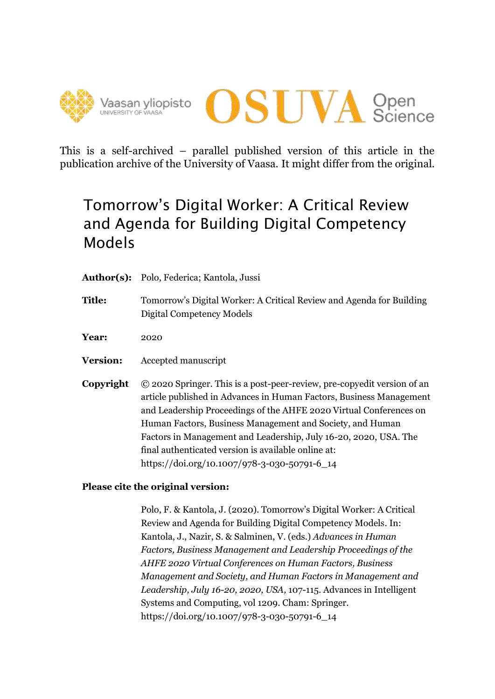



This is a self-archived – parallel published version of this article in the publication archive of the University of Vaasa. It might differ from the original.

# Tomorrow's Digital Worker: A Critical Review and Agenda for Building Digital Competency Models

**Author(s):** Polo, Federica; Kantola, Jussi

- **Title:** Tomorrow's Digital Worker: A Critical Review and Agenda for Building Digital Competency Models
- **Year:** 2020
- **Version:** Accepted manuscript
- **Copyright** © 2020 Springer. This is a post-peer-review, pre-copyedit version of an article published in Advances in Human Factors, Business Management and Leadership Proceedings of the AHFE 2020 Virtual Conferences on Human Factors, Business Management and Society, and Human Factors in Management and Leadership, July 16-20, 2020, USA. The final authenticated version is available online at: https://doi.org/10.1007/978-3-030-50791-6\_14

# **Please cite the original version:**

Polo, F. & Kantola, J. (2020). Tomorrow's Digital Worker: A Critical Review and Agenda for Building Digital Competency Models. In: Kantola, J., Nazir, S. & Salminen, V. (eds.) *Advances in Human Factors, Business Management and Leadership Proceedings of the AHFE 2020 Virtual Conferences on Human Factors, Business Management and Society, and Human Factors in Management and Leadership, July 16-20, 2020, USA,* 107-115. Advances in Intelligent Systems and Computing, vol 1209. Cham: Springer. https://doi.org/10.1007/978-3-030-50791-6\_14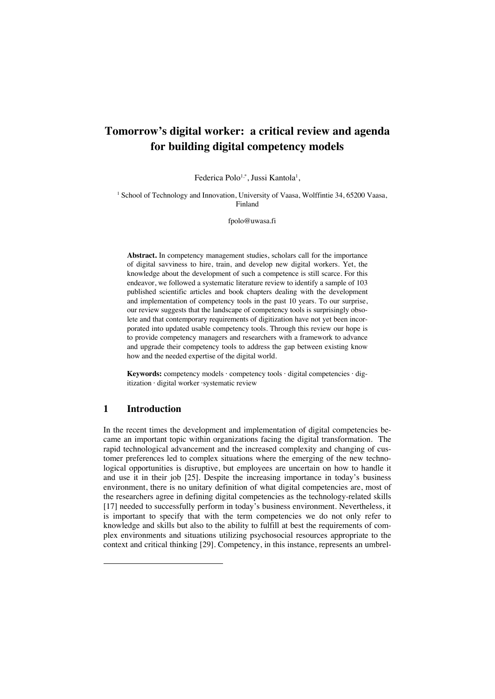# **Tomorrow's digital worker: a critical review and agenda for building digital competency models**

Federica Polo<sup>1,\*</sup>, Jussi Kantola<sup>1</sup>,

<sup>1</sup> School of Technology and Innovation, University of Vaasa, Wolffintie 34, 65200 Vaasa, Finland

fpolo@uwasa.fi

**Abstract.** In competency management studies, scholars call for the importance of digital savviness to hire, train, and develop new digital workers. Yet, the knowledge about the development of such a competence is still scarce. For this endeavor, we followed a systematic literature review to identify a sample of 103 published scientific articles and book chapters dealing with the development and implementation of competency tools in the past 10 years. To our surprise, our review suggests that the landscape of competency tools is surprisingly obsolete and that contemporary requirements of digitization have not yet been incorporated into updated usable competency tools. Through this review our hope is to provide competency managers and researchers with a framework to advance and upgrade their competency tools to address the gap between existing know how and the needed expertise of the digital world.

**Keywords:** competency models · competency tools · digital competencies · digitization · digital worker ·systematic review

# **1 Introduction**

In the recent times the development and implementation of digital competencies became an important topic within organizations facing the digital transformation. The rapid technological advancement and the increased complexity and changing of customer preferences led to complex situations where the emerging of the new technological opportunities is disruptive, but employees are uncertain on how to handle it and use it in their job [25]. Despite the increasing importance in today's business environment, there is no unitary definition of what digital competencies are, most of the researchers agree in defining digital competencies as the technology-related skills [17] needed to successfully perform in today's business environment. Nevertheless, it is important to specify that with the term competencies we do not only refer to knowledge and skills but also to the ability to fulfill at best the requirements of complex environments and situations utilizing psychosocial resources appropriate to the context and critical thinking [29]. Competency, in this instance, represents an umbrel-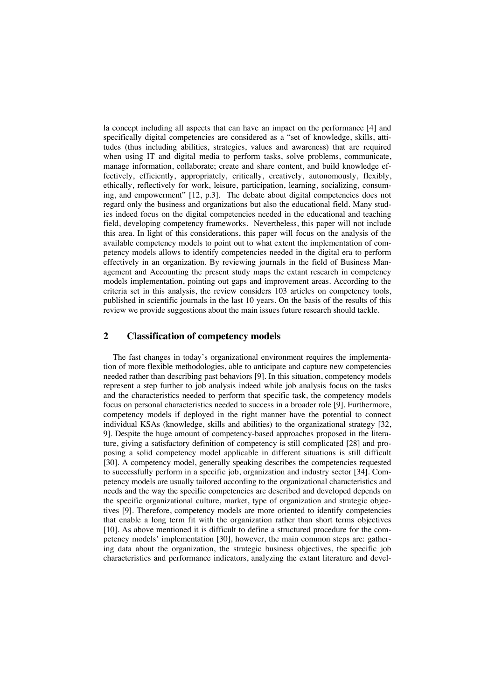la concept including all aspects that can have an impact on the performance [4] and specifically digital competencies are considered as a "set of knowledge, skills, attitudes (thus including abilities, strategies, values and awareness) that are required when using IT and digital media to perform tasks, solve problems, communicate, manage information, collaborate; create and share content, and build knowledge effectively, efficiently, appropriately, critically, creatively, autonomously, flexibly, ethically, reflectively for work, leisure, participation, learning, socializing, consuming, and empowerment" [12, p.3]. The debate about digital competencies does not regard only the business and organizations but also the educational field. Many studies indeed focus on the digital competencies needed in the educational and teaching field, developing competency frameworks. Nevertheless, this paper will not include this area. In light of this considerations, this paper will focus on the analysis of the available competency models to point out to what extent the implementation of competency models allows to identify competencies needed in the digital era to perform effectively in an organization. By reviewing journals in the field of Business Management and Accounting the present study maps the extant research in competency models implementation, pointing out gaps and improvement areas. According to the criteria set in this analysis, the review considers 103 articles on competency tools, published in scientific journals in the last 10 years. On the basis of the results of this review we provide suggestions about the main issues future research should tackle.

#### **2 Classification of competency models**

The fast changes in today's organizational environment requires the implementation of more flexible methodologies, able to anticipate and capture new competencies needed rather than describing past behaviors [9]. In this situation, competency models represent a step further to job analysis indeed while job analysis focus on the tasks and the characteristics needed to perform that specific task, the competency models focus on personal characteristics needed to success in a broader role [9]. Furthermore, competency models if deployed in the right manner have the potential to connect individual KSAs (knowledge, skills and abilities) to the organizational strategy [32, 9]. Despite the huge amount of competency-based approaches proposed in the literature, giving a satisfactory definition of competency is still complicated [28] and proposing a solid competency model applicable in different situations is still difficult [30]. A competency model, generally speaking describes the competencies requested to successfully perform in a specific job, organization and industry sector [34]. Competency models are usually tailored according to the organizational characteristics and needs and the way the specific competencies are described and developed depends on the specific organizational culture, market, type of organization and strategic objectives [9]. Therefore, competency models are more oriented to identify competencies that enable a long term fit with the organization rather than short terms objectives [10]. As above mentioned it is difficult to define a structured procedure for the competency models' implementation [30], however, the main common steps are: gathering data about the organization, the strategic business objectives, the specific job characteristics and performance indicators, analyzing the extant literature and devel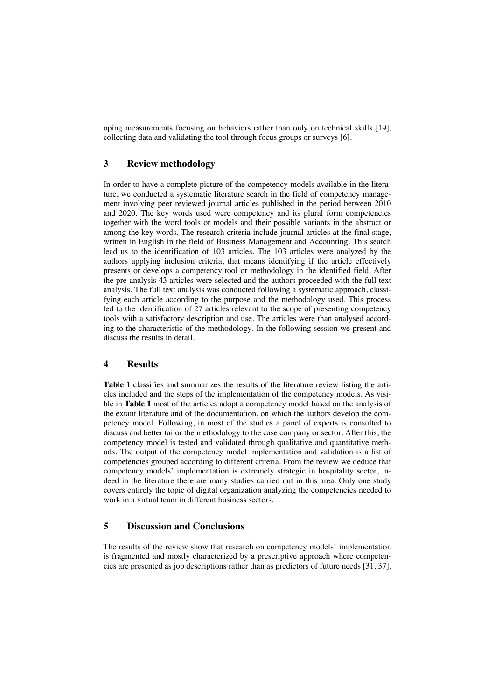oping measurements focusing on behaviors rather than only on technical skills [19], collecting data and validating the tool through focus groups or surveys [6].

### **3 Review methodology**

In order to have a complete picture of the competency models available in the literature, we conducted a systematic literature search in the field of competency management involving peer reviewed journal articles published in the period between 2010 and 2020. The key words used were competency and its plural form competencies together with the word tools or models and their possible variants in the abstract or among the key words. The research criteria include journal articles at the final stage, written in English in the field of Business Management and Accounting. This search lead us to the identification of 103 articles. The 103 articles were analyzed by the authors applying inclusion criteria, that means identifying if the article effectively presents or develops a competency tool or methodology in the identified field. After the pre-analysis 43 articles were selected and the authors proceeded with the full text analysis. The full text analysis was conducted following a systematic approach, classifying each article according to the purpose and the methodology used. This process led to the identification of 27 articles relevant to the scope of presenting competency tools with a satisfactory description and use. The articles were than analysed according to the characteristic of the methodology. In the following session we present and discuss the results in detail.

#### **4 Results**

**Table 1** classifies and summarizes the results of the literature review listing the articles included and the steps of the implementation of the competency models. As visible in **Table 1** most of the articles adopt a competency model based on the analysis of the extant literature and of the documentation, on which the authors develop the competency model. Following, in most of the studies a panel of experts is consulted to discuss and better tailor the methodology to the case company or sector. After this, the competency model is tested and validated through qualitative and quantitative methods. The output of the competency model implementation and validation is a list of competencies grouped according to different criteria. From the review we deduce that competency models' implementation is extremely strategic in hospitality sector, indeed in the literature there are many studies carried out in this area. Only one study covers entirely the topic of digital organization analyzing the competencies needed to work in a virtual team in different business sectors.

# **5 Discussion and Conclusions**

The results of the review show that research on competency models' implementation is fragmented and mostly characterized by a prescriptive approach where competencies are presented as job descriptions rather than as predictors of future needs [31, 37].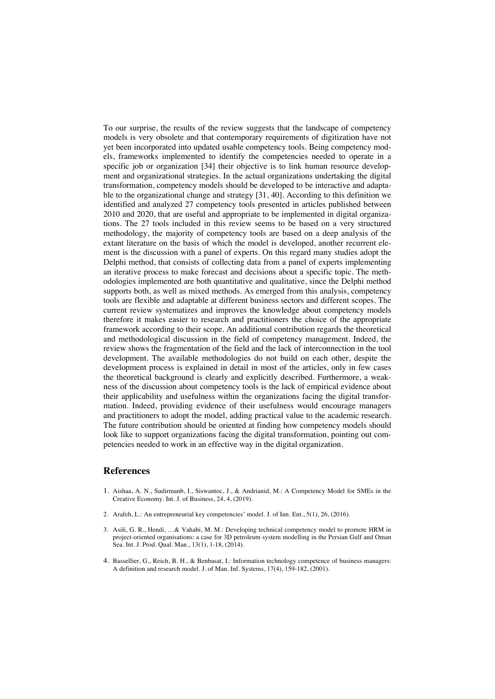To our surprise, the results of the review suggests that the landscape of competency models is very obsolete and that contemporary requirements of digitization have not yet been incorporated into updated usable competency tools. Being competency models, frameworks implemented to identify the competencies needed to operate in a specific job or organization [34] their objective is to link human resource development and organizational strategies. In the actual organizations undertaking the digital transformation, competency models should be developed to be interactive and adaptable to the organizational change and strategy [31, 40]. According to this definition we identified and analyzed 27 competency tools presented in articles published between 2010 and 2020, that are useful and appropriate to be implemented in digital organizations. The 27 tools included in this review seems to be based on a very structured methodology, the majority of competency tools are based on a deep analysis of the extant literature on the basis of which the model is developed, another recurrent element is the discussion with a panel of experts. On this regard many studies adopt the Delphi method, that consists of collecting data from a panel of experts implementing an iterative process to make forecast and decisions about a specific topic. The methodologies implemented are both quantitative and qualitative, since the Delphi method supports both, as well as mixed methods. As emerged from this analysis, competency tools are flexible and adaptable at different business sectors and different scopes. The current review systematizes and improves the knowledge about competency models therefore it makes easier to research and practitioners the choice of the appropriate framework according to their scope. An additional contribution regards the theoretical and methodological discussion in the field of competency management. Indeed, the review shows the fragmentation of the field and the lack of interconnection in the tool development. The available methodologies do not build on each other, despite the development process is explained in detail in most of the articles, only in few cases the theoretical background is clearly and explicitly described. Furthermore, a weakness of the discussion about competency tools is the lack of empirical evidence about their applicability and usefulness within the organizations facing the digital transformation. Indeed, providing evidence of their usefulness would encourage managers and practitioners to adopt the model, adding practical value to the academic research. The future contribution should be oriented at finding how competency models should look like to support organizations facing the digital transformation, pointing out competencies needed to work in an effective way in the digital organization.

#### **References**

- 1. Aishaa, A. N., Sudirmanb, I., Siswantoc, J., & Andrianid, M.: A Competency Model for SMEs in the Creative Economy. Int. J. of Business, 24, 4, (2019).
- 2. Arafeh, L.: An entrepreneurial key competencies' model. J. of Inn. Ent., 5(1), 26, (2016).
- 3. Asili, G. R., Hendi, …& Vahabi, M. M.: Developing technical competency model to promote HRM in project-oriented organisations: a case for 3D petroleum system modelling in the Persian Gulf and Oman Sea. Int. J. Prod. Qual. Man., 13(1), 1-18, (2014).
- 4. Bassellier, G., Reich, B. H., & Benbasat, I.: Information technology competence of business managers: A definition and research model. J. of Man. Inf. Systems, 17(4), 159-182, (2001).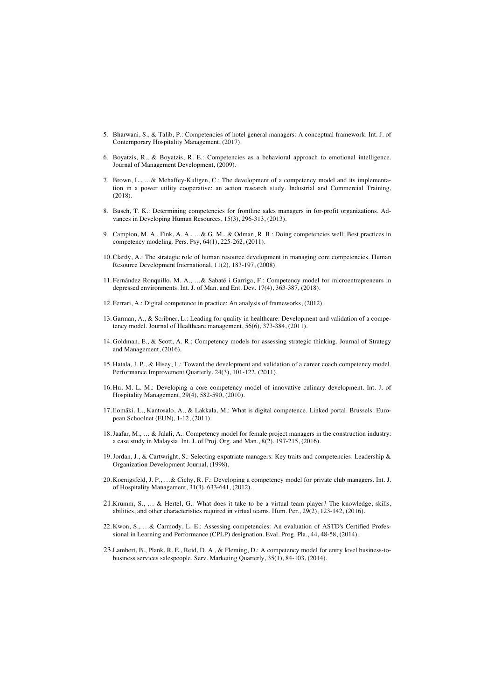- 5. Bharwani, S., & Talib, P.: Competencies of hotel general managers: A conceptual framework. Int. J. of Contemporary Hospitality Management, (2017).
- 6. Boyatzis, R., & Boyatzis, R. E.: Competencies as a behavioral approach to emotional intelligence. Journal of Management Development, (2009).
- 7. Brown, L., …& Mehaffey-Kultgen, C.: The development of a competency model and its implementation in a power utility cooperative: an action research study. Industrial and Commercial Training, (2018).
- 8. Busch, T. K.: Determining competencies for frontline sales managers in for-profit organizations. Advances in Developing Human Resources, 15(3), 296-313, (2013).
- 9. Campion, M. A., Fink, A. A., …& G. M., & Odman, R. B.: Doing competencies well: Best practices in competency modeling. Pers. Psy, 64(1), 225-262, (2011).
- 10. Clardy, A.: The strategic role of human resource development in managing core competencies. Human Resource Development International, 11(2), 183-197, (2008).
- 11. Fernández Ronquillo, M. A., …& Sabaté i Garriga, F.: Competency model for microentrepreneurs in depressed environments. Int. J. of Man. and Ent. Dev. 17(4), 363-387, (2018).
- 12. Ferrari, A.: Digital competence in practice: An analysis of frameworks, (2012).
- 13. Garman, A., & Scribner, L.: Leading for quality in healthcare: Development and validation of a competency model. Journal of Healthcare management, 56(6), 373-384, (2011).
- 14. Goldman, E., & Scott, A. R.: Competency models for assessing strategic thinking. Journal of Strategy and Management, (2016).
- 15. Hatala, J. P., & Hisey, L.: Toward the development and validation of a career coach competency model. Performance Improvement Quarterly, 24(3), 101-122, (2011).
- 16. Hu, M. L. M.: Developing a core competency model of innovative culinary development. Int. J. of Hospitality Management, 29(4), 582-590, (2010).
- 17. Ilomäki, L., Kantosalo, A., & Lakkala, M.: What is digital competence. Linked portal. Brussels: European Schoolnet (EUN), 1-12, (2011).
- 18.Jaafar, M., … & Jalali, A.: Competency model for female project managers in the construction industry: a case study in Malaysia. Int. J. of Proj. Org. and Man.,  $8(2)$ , 197-215,  $(2016)$ .
- 19.Jordan, J., & Cartwright, S.: Selecting expatriate managers: Key traits and competencies. Leadership & Organization Development Journal, (1998).
- 20. Koenigsfeld, J. P., …& Cichy, R. F.: Developing a competency model for private club managers. Int. J. of Hospitality Management, 31(3), 633-641, (2012).
- 21.Krumm, S., … & Hertel, G.: What does it take to be a virtual team player? The knowledge, skills, abilities, and other characteristics required in virtual teams. Hum. Per., 29(2), 123-142, (2016).
- 22. Kwon, S., …& Carmody, L. E.: Assessing competencies: An evaluation of ASTD's Certified Professional in Learning and Performance (CPLP) designation. Eval. Prog. Pla., 44, 48-58, (2014).
- 23.Lambert, B., Plank, R. E., Reid, D. A., & Fleming, D.: A competency model for entry level business-tobusiness services salespeople. Serv. Marketing Quarterly, 35(1), 84-103, (2014).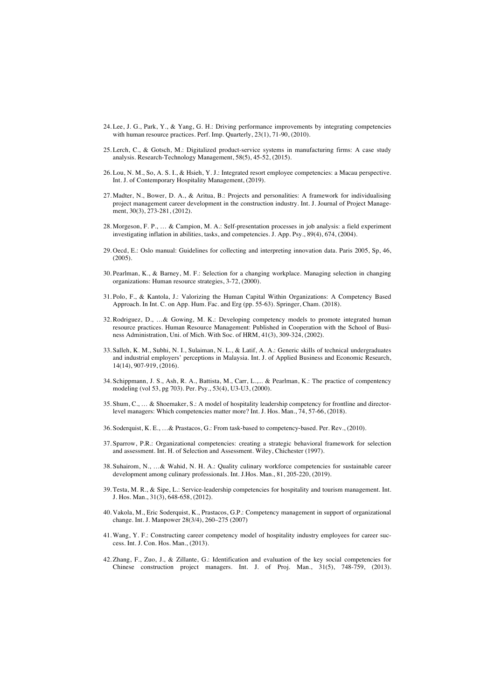- 24. Lee, J. G., Park, Y., & Yang, G. H.: Driving performance improvements by integrating competencies with human resource practices. Perf. Imp. Quarterly, 23(1), 71-90, (2010).
- 25. Lerch, C., & Gotsch, M.: Digitalized product-service systems in manufacturing firms: A case study analysis. Research-Technology Management, 58(5), 45-52, (2015).
- 26. Lou, N. M., So, A. S. I., & Hsieh, Y. J.: Integrated resort employee competencies: a Macau perspective. Int. J. of Contemporary Hospitality Management, (2019).
- 27. Madter, N., Bower, D. A., & Aritua, B.: Projects and personalities: A framework for individualising project management career development in the construction industry. Int. J. Journal of Project Management, 30(3), 273-281, (2012).
- 28. Morgeson, F. P., … & Campion, M. A.: Self-presentation processes in job analysis: a field experiment investigating inflation in abilities, tasks, and competencies. J. App. Psy., 89(4), 674, (2004).
- 29. Oecd, E.: Oslo manual: Guidelines for collecting and interpreting innovation data. Paris 2005, Sp, 46, (2005).
- 30. Pearlman, K., & Barney, M. F.: Selection for a changing workplace. Managing selection in changing organizations: Human resource strategies, 3-72, (2000).
- 31. Polo, F., & Kantola, J.: Valorizing the Human Capital Within Organizations: A Competency Based Approach. In Int. C. on App. Hum. Fac. and Erg (pp. 55-63). Springer, Cham. (2018).
- 32. Rodriguez, D., …& Gowing, M. K.: Developing competency models to promote integrated human resource practices. Human Resource Management: Published in Cooperation with the School of Business Administration, Uni. of Mich. With Soc. of HRM, 41(3), 309-324, (2002).
- 33. Salleh, K. M., Subhi, N. I., Sulaiman, N. L., & Latif, A. A.: Generic skills of technical undergraduates and industrial employers' perceptions in Malaysia. Int. J. of Applied Business and Economic Research, 14(14), 907-919, (2016).
- 34. Schippmann, J. S., Ash, R. A., Battista, M., Carr, L.,... & Pearlman, K.: The practice of compentency modeling (vol 53, pg 703). Per. Psy., 53(4), U3-U3, (2000).
- 35. Shum, C., … & Shoemaker, S.: A model of hospitality leadership competency for frontline and directorlevel managers: Which competencies matter more? Int. J. Hos. Man., 74, 57-66, (2018).
- 36. Soderquist, K. E., …& Prastacos, G.: From task-based to competency-based. Per. Rev., (2010).
- 37. Sparrow, P.R.: Organizational competencies: creating a strategic behavioral framework for selection and assessment. Int. H. of Selection and Assessment. Wiley, Chichester (1997).
- 38. Suhairom, N., …& Wahid, N. H. A.: Quality culinary workforce competencies for sustainable career development among culinary professionals. Int. J.Hos. Man., 81, 205-220, (2019).
- 39. Testa, M. R., & Sipe, L.: Service-leadership competencies for hospitality and tourism management. Int. J. Hos. Man., 31(3), 648-658, (2012).
- 40. Vakola, M., Eric Soderquist, K., Prastacos, G.P.: Competency management in support of organizational change. Int. J. Manpower 28(3/4), 260–275 (2007)
- 41. Wang, Y. F.: Constructing career competency model of hospitality industry employees for career success. Int. J. Con. Hos. Man., (2013).
- 42. Zhang, F., Zuo, J., & Zillante, G.: Identification and evaluation of the key social competencies for Chinese construction project managers. Int. J. of Proj. Man., 31(5), 748-759, (2013).